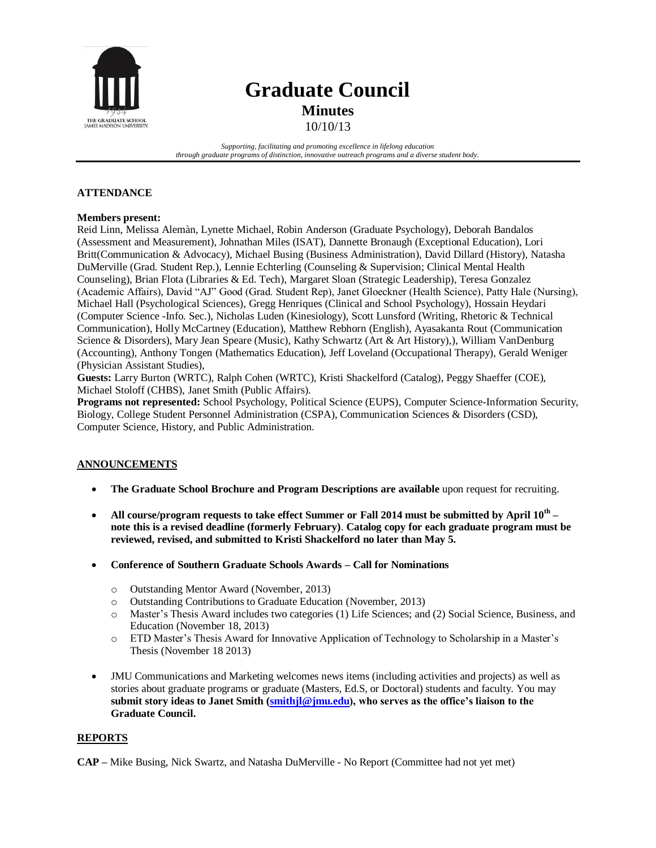

# **Graduate Council Minutes**

10/10/13

*Supporting, facilitating and promoting excellence in lifelong education through graduate programs of distinction, innovative outreach programs and a diverse student body.*

## **ATTENDANCE**

## **Members present:**

Reid Linn, Melissa Alemàn, Lynette Michael, Robin Anderson (Graduate Psychology), Deborah Bandalos (Assessment and Measurement), Johnathan Miles (ISAT), Dannette Bronaugh (Exceptional Education), Lori Britt(Communication & Advocacy), Michael Busing (Business Administration), David Dillard (History), Natasha DuMerville (Grad. Student Rep.), Lennie Echterling (Counseling & Supervision; Clinical Mental Health Counseling), Brian Flota (Libraries & Ed. Tech), Margaret Sloan (Strategic Leadership), Teresa Gonzalez (Academic Affairs), David "AJ" Good (Grad. Student Rep), Janet Gloeckner (Health Science), Patty Hale (Nursing), Michael Hall (Psychological Sciences), Gregg Henriques (Clinical and School Psychology), Hossain Heydari (Computer Science -Info. Sec.), Nicholas Luden (Kinesiology), Scott Lunsford (Writing, Rhetoric & Technical Communication), Holly McCartney (Education), Matthew Rebhorn (English), Ayasakanta Rout (Communication Science & Disorders), Mary Jean Speare (Music), Kathy Schwartz (Art & Art History),), William VanDenburg (Accounting), Anthony Tongen (Mathematics Education), Jeff Loveland (Occupational Therapy), Gerald Weniger (Physician Assistant Studies),

**Guests:** Larry Burton (WRTC), Ralph Cohen (WRTC), Kristi Shackelford (Catalog), Peggy Shaeffer (COE), Michael Stoloff (CHBS), Janet Smith (Public Affairs).

**Programs not represented:** School Psychology, Political Science (EUPS), Computer Science-Information Security, Biology, College Student Personnel Administration (CSPA), Communication Sciences & Disorders (CSD), Computer Science, History, and Public Administration.

## **ANNOUNCEMENTS**

- **The Graduate School Brochure and Program Descriptions are available** upon request for recruiting.
- **All course/program requests to take effect Summer or Fall 2014 must be submitted by April 10th – note this is a revised deadline (formerly February)**. **Catalog copy for each graduate program must be reviewed, revised, and submitted to Kristi Shackelford no later than May 5.**
- **Conference of Southern Graduate Schools Awards – Call for Nominations** 
	- o Outstanding Mentor Award (November, 2013)
	- o Outstanding Contributions to Graduate Education (November, 2013)
	- o Master's Thesis Award includes two categories (1) Life Sciences; and (2) Social Science, Business, and Education (November 18, 2013)
	- o ETD Master's Thesis Award for Innovative Application of Technology to Scholarship in a Master's Thesis (November 18 2013)
- JMU Communications and Marketing welcomes news items (including activities and projects) as well as stories about graduate programs or graduate (Masters, Ed.S, or Doctoral) students and faculty. You may **submit story ideas to Janet Smith [\(smithjl@jmu.edu\)](file://ad.jmu.edu/IT-File/TGS/TGS-Shares/Departmental/Graduate%20Council/2013-14%20Graduate%20Council/Minutes/smithjl@jmu.edu), who serves as the office's liaison to the Graduate Council.**

## **REPORTS**

**CAP –** Mike Busing, Nick Swartz, and Natasha DuMerville - No Report (Committee had not yet met)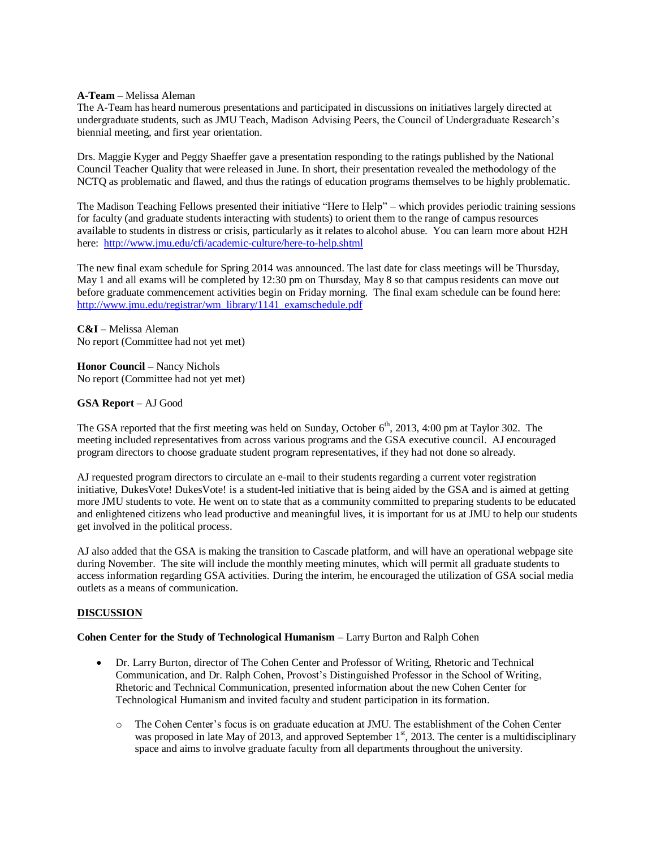#### **A-Team** – Melissa Aleman

The A-Team has heard numerous presentations and participated in discussions on initiatives largely directed at undergraduate students, such as JMU Teach, Madison Advising Peers, the Council of Undergraduate Research's biennial meeting, and first year orientation.

Drs. Maggie Kyger and Peggy Shaeffer gave a presentation responding to the ratings published by the National Council Teacher Quality that were released in June. In short, their presentation revealed the methodology of the NCTQ as problematic and flawed, and thus the ratings of education programs themselves to be highly problematic.

The Madison Teaching Fellows presented their initiative "Here to Help" – which provides periodic training sessions for faculty (and graduate students interacting with students) to orient them to the range of campus resources available to students in distress or crisis, particularly as it relates to alcohol abuse. You can learn more about H2H here: <http://www.jmu.edu/cfi/academic-culture/here-to-help.shtml>

The new final exam schedule for Spring 2014 was announced. The last date for class meetings will be Thursday, May 1 and all exams will be completed by 12:30 pm on Thursday, May 8 so that campus residents can move out before graduate commencement activities begin on Friday morning. The final exam schedule can be found here: [http://www.jmu.edu/registrar/wm\\_library/1141\\_examschedule.pdf](http://www.jmu.edu/registrar/wm_library/1141_examschedule.pdf)

**C&I –** Melissa Aleman No report (Committee had not yet met)

**Honor Council –** Nancy Nichols No report (Committee had not yet met)

## **GSA Report –** AJ Good

The GSA reported that the first meeting was held on Sunday, October  $6<sup>th</sup>$ , 2013, 4:00 pm at Taylor 302. The meeting included representatives from across various programs and the GSA executive council. AJ encouraged program directors to choose graduate student program representatives, if they had not done so already.

AJ requested program directors to circulate an e-mail to their students regarding a current voter registration initiative, DukesVote! DukesVote! is a student-led initiative that is being aided by the GSA and is aimed at getting more JMU students to vote. He went on to state that as a community committed to preparing students to be educated and enlightened citizens who lead productive and meaningful lives, it is important for us at JMU to help our students get involved in the political process.

AJ also added that the GSA is making the transition to Cascade platform, and will have an operational webpage site during November. The site will include the monthly meeting minutes, which will permit all graduate students to access information regarding GSA activities. During the interim, he encouraged the utilization of GSA social media outlets as a means of communication.

## **DISCUSSION**

**Cohen Center for the Study of Technological Humanism –** Larry Burton and Ralph Cohen

- Dr. Larry Burton, director of The Cohen Center and Professor of Writing, Rhetoric and Technical Communication, and Dr. Ralph Cohen, Provost's Distinguished Professor in the School of Writing, Rhetoric and Technical Communication, presented information about the new Cohen Center for Technological Humanism and invited faculty and student participation in its formation.
	- o The Cohen Center's focus is on graduate education at JMU. The establishment of the Cohen Center was proposed in late May of 2013, and approved September  $1<sup>st</sup>$ , 2013. The center is a multidisciplinary space and aims to involve graduate faculty from all departments throughout the university.